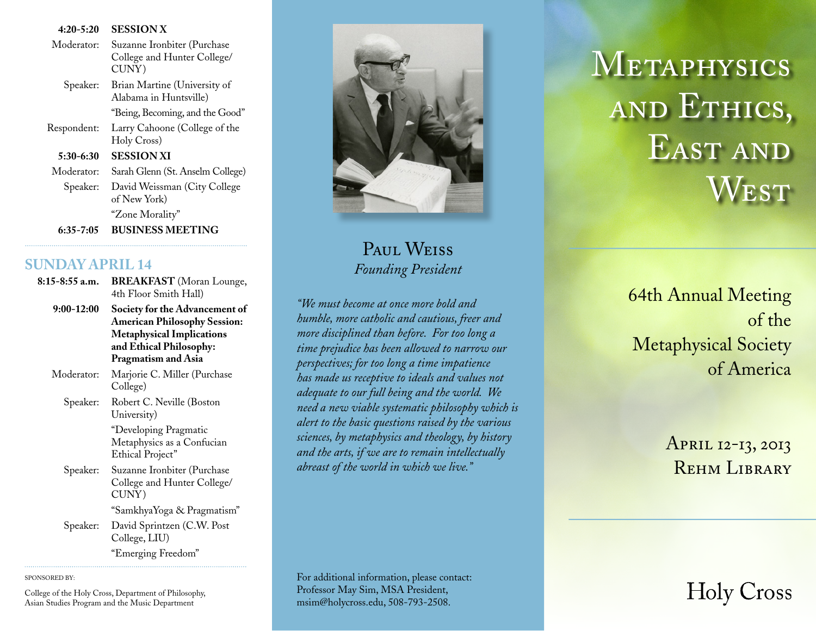| $4:20 - 5:20$ | <b>SESSION X</b>                                           |  |  |  |
|---------------|------------------------------------------------------------|--|--|--|
| Moderator:    | Suzanne Ironbiter (Purchase<br>College and Hunter College/ |  |  |  |
|               | CUNY)                                                      |  |  |  |
| Speaker:      | Brian Martine (University of<br>Alabama in Huntsville)     |  |  |  |
|               | "Being, Becoming, and the Good"                            |  |  |  |
| Respondent:   | Larry Cahoone (College of the<br>Holy Cross)               |  |  |  |
| 5:30-6:30     | <b>SESSION XI</b>                                          |  |  |  |
| Moderator:    | Sarah Glenn (St. Anselm College)                           |  |  |  |
| Speaker:      | David Weissman (City College<br>of New York)               |  |  |  |
|               | "Zone Morality"                                            |  |  |  |
| 6:35-7:05     | BUSINESS MEETING                                           |  |  |  |

## **SUNDAY APRIL 14**

| 8:15-8:55 a.m. | <b>BREAKFAST</b> (Moran Lounge,<br>4th Floor Smith Hall)<br>Society for the Advancement of<br><b>American Philosophy Session:</b><br><b>Metaphysical Implications</b><br>and Ethical Philosophy:<br>Pragmatism and Asia |  |  |  |
|----------------|-------------------------------------------------------------------------------------------------------------------------------------------------------------------------------------------------------------------------|--|--|--|
| 9:00-12:00     |                                                                                                                                                                                                                         |  |  |  |
| Moderator:     | Marjorie C. Miller (Purchase<br>College)                                                                                                                                                                                |  |  |  |
| Speaker:       | Robert C. Neville (Boston<br>University)                                                                                                                                                                                |  |  |  |
|                | "Developing Pragmatic<br>Metaphysics as a Confucian<br>Ethical Project"                                                                                                                                                 |  |  |  |
| Speaker:       | Suzanne Ironbiter (Purchase<br>College and Hunter College/<br>CUNY)                                                                                                                                                     |  |  |  |
|                | "SamkhyaYoga & Pragmatism"                                                                                                                                                                                              |  |  |  |
| Speaker:       | David Sprintzen (C.W. Post<br>College, LIU)                                                                                                                                                                             |  |  |  |
|                | "Emerging Freedom"                                                                                                                                                                                                      |  |  |  |

SPONSORED BY:

College of the Holy Cross, Department of Philosophy, Asian Studies Program and the Music Department



PAUL WEISS Founding President

"We must become at once more hold and humble, more catholic and cautious, freer and more disciplined than before. For too long a time prejudice has been allowed to narrow our perspectives; for too long a time impatience has made us receptive to ideals and values not adequate to our full being and the world. We need a new viable systematic philosophy which is alert to the basic questions raised by the various sciences, by metaphysics and theology, by history and the arts, if we are to remain intellectually abreast of the world in which we live."

METAPHYSICS AND ETHICS, EAST AND  $W_{\rm EST}$ 

> **64th Annual Meeting** of the **Metaphysical Society** of America

> > APRIL 12-13, 2013 **REHM LIBRARY**

## For additional information, please contact: Professor May Sim, MSA President, msim@holycross.edu, 508-793-2508.

**Holy Cross**